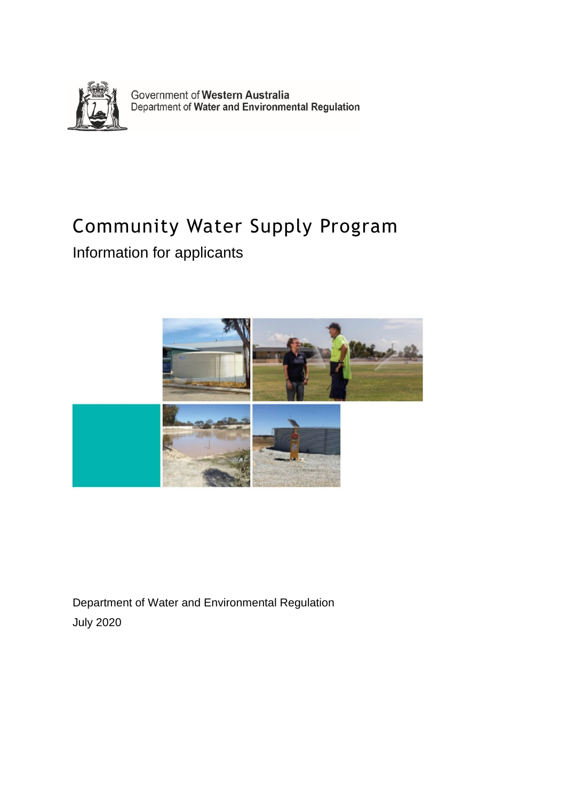

Government of Western Australia<br>Department of Water and Environmental Regulation

# Community Water Supply Program

Information for applicants



Department of Water and Environmental Regulation July 2020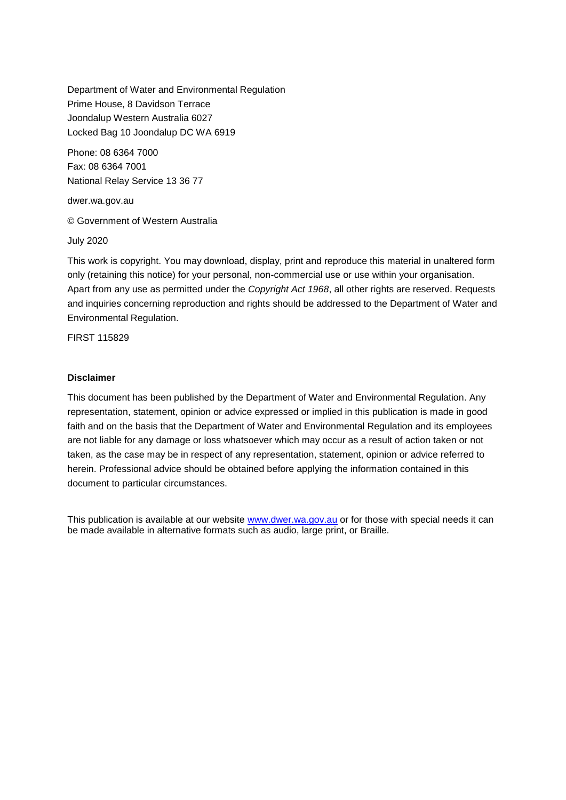Department of Water and Environmental Regulation Prime House, 8 Davidson Terrace Joondalup Western Australia 6027 Locked Bag 10 Joondalup DC WA 6919

Phone: 08 6364 7000 Fax: 08 6364 7001 National Relay Service 13 36 77

dwer.wa.gov.au

© Government of Western Australia

July 2020

This work is copyright. You may download, display, print and reproduce this material in unaltered form only (retaining this notice) for your personal, non-commercial use or use within your organisation. Apart from any use as permitted under the *Copyright Act 1968*, all other rights are reserved. Requests and inquiries concerning reproduction and rights should be addressed to the Department of Water and Environmental Regulation.

FIRST 115829

#### **Disclaimer**

This document has been published by the Department of Water and Environmental Regulation. Any representation, statement, opinion or advice expressed or implied in this publication is made in good faith and on the basis that the Department of Water and Environmental Regulation and its employees are not liable for any damage or loss whatsoever which may occur as a result of action taken or not taken, as the case may be in respect of any representation, statement, opinion or advice referred to herein. Professional advice should be obtained before applying the information contained in this document to particular circumstances.

This publication is available at our website [www.dwer.wa.gov.au](http://www.dwer.wa.gov.au/) or for those with special needs it can be made available in alternative formats such as audio, large print, or Braille*.*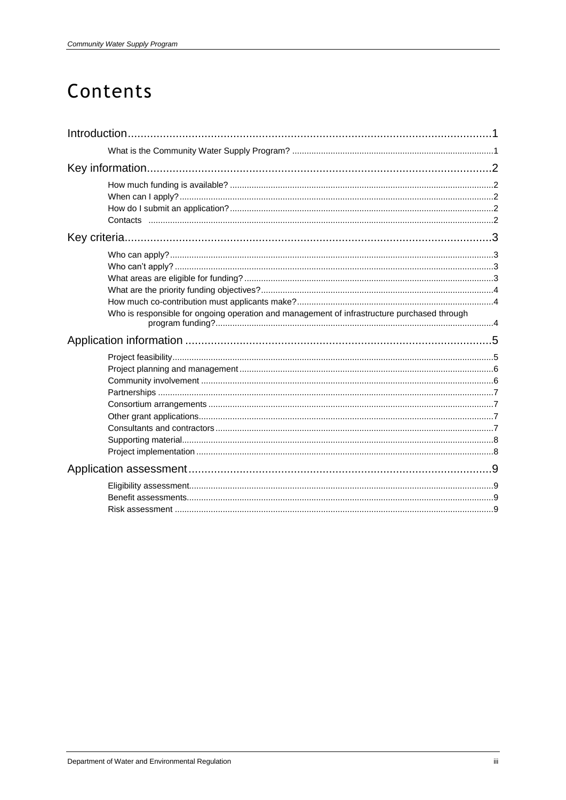# Contents

| Who is responsible for ongoing operation and management of infrastructure purchased through |  |
|---------------------------------------------------------------------------------------------|--|
|                                                                                             |  |
|                                                                                             |  |
|                                                                                             |  |
|                                                                                             |  |
|                                                                                             |  |
|                                                                                             |  |
|                                                                                             |  |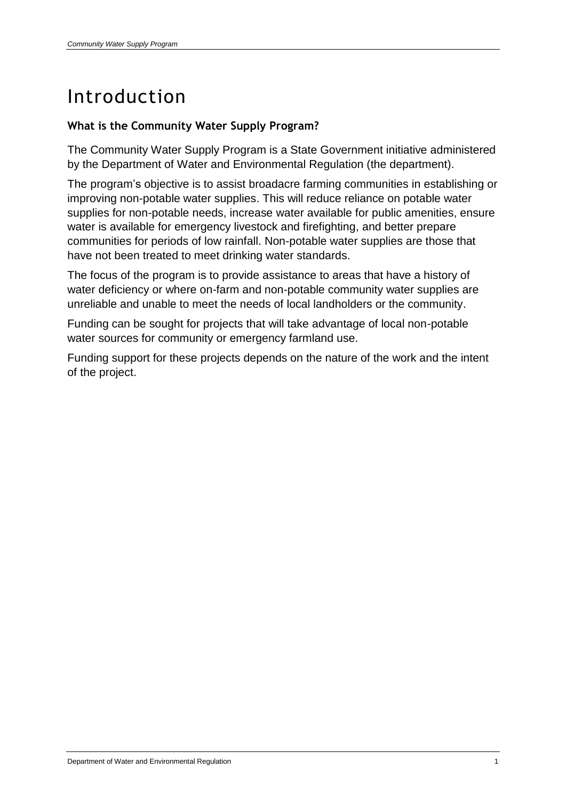# Introduction

### **What is the Community Water Supply Program?**

The Community Water Supply Program is a State Government initiative administered by the Department of Water and Environmental Regulation (the department).

The program's objective is to assist broadacre farming communities in establishing or improving non-potable water supplies. This will reduce reliance on potable water supplies for non-potable needs, increase water available for public amenities, ensure water is available for emergency livestock and firefighting, and better prepare communities for periods of low rainfall. Non-potable water supplies are those that have not been treated to meet drinking water standards.

The focus of the program is to provide assistance to areas that have a history of water deficiency or where on-farm and non-potable community water supplies are unreliable and unable to meet the needs of local landholders or the community.

Funding can be sought for projects that will take advantage of local non-potable water sources for community or emergency farmland use.

Funding support for these projects depends on the nature of the work and the intent of the project.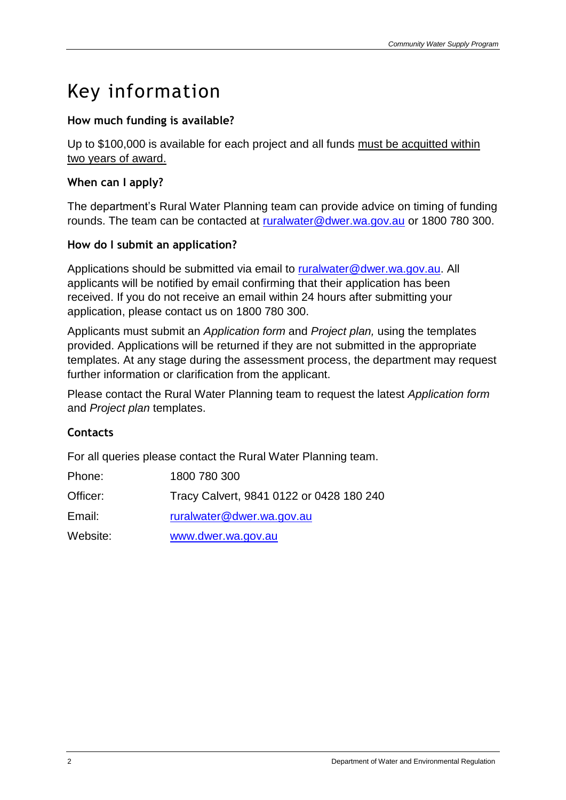# Key information

# **How much funding is available?**

Up to \$100,000 is available for each project and all funds must be acquitted within two years of award.

# **When can I apply?**

The department's Rural Water Planning team can provide advice on timing of funding rounds. The team can be contacted at [ruralwater@dwer.wa.gov.au](mailto:ruralwater@dwer.wa.gov.au) or 1800 780 300.

### **How do I submit an application?**

Applications should be submitted via email to [ruralwater@dwer.wa.gov.au.](mailto:ruralwater@dwer.wa.gov.au) All applicants will be notified by email confirming that their application has been received. If you do not receive an email within 24 hours after submitting your application, please contact us on 1800 780 300.

Applicants must submit an *Application form* and *Project plan,* using the templates provided. Applications will be returned if they are not submitted in the appropriate templates. At any stage during the assessment process, the department may request further information or clarification from the applicant.

Please contact the Rural Water Planning team to request the latest *Application form* and *Project plan* templates.

### **Contacts**

For all queries please contact the Rural Water Planning team.

| Phone:   | 1800 780 300                             |
|----------|------------------------------------------|
| Officer: | Tracy Calvert, 9841 0122 or 0428 180 240 |
| Email:   | ruralwater@dwer.wa.gov.au                |
| Website: | www.dwer.wa.gov.au                       |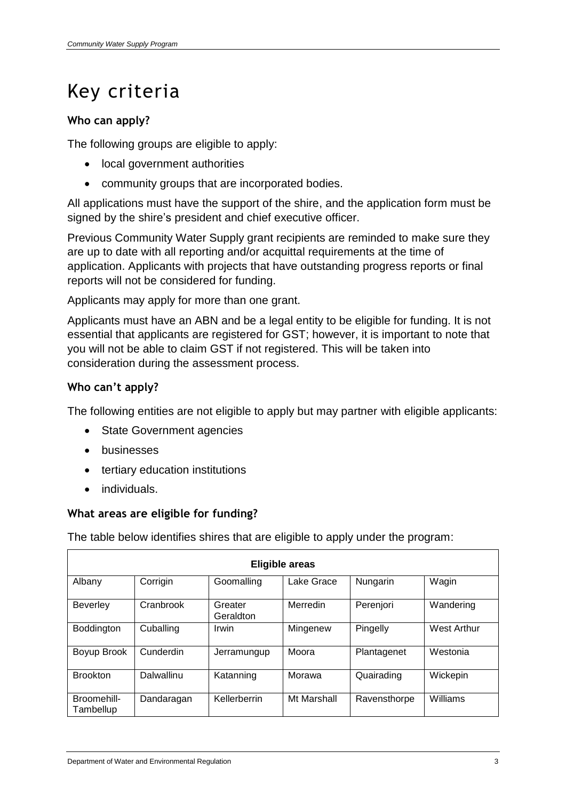# Key criteria

# **Who can apply?**

The following groups are eligible to apply:

- local government authorities
- community groups that are incorporated bodies.

All applications must have the support of the shire, and the application form must be signed by the shire's president and chief executive officer.

Previous Community Water Supply grant recipients are reminded to make sure they are up to date with all reporting and/or acquittal requirements at the time of application. Applicants with projects that have outstanding progress reports or final reports will not be considered for funding.

Applicants may apply for more than one grant.

Applicants must have an ABN and be a legal entity to be eligible for funding. It is not essential that applicants are registered for GST; however, it is important to note that you will not be able to claim GST if not registered. This will be taken into consideration during the assessment process.

### **Who can't apply?**

The following entities are not eligible to apply but may partner with eligible applicants:

- State Government agencies
- **•** businesses
- tertiary education institutions
- individuals.

### **What areas are eligible for funding?**

The table below identifies shires that are eligible to apply under the program:

| <b>Eligible areas</b>    |            |                      |             |              |                    |  |  |  |
|--------------------------|------------|----------------------|-------------|--------------|--------------------|--|--|--|
| Albany                   | Corrigin   | Goomalling           | Lake Grace  | Nungarin     | Wagin              |  |  |  |
| <b>Beverley</b>          | Cranbrook  | Greater<br>Geraldton | Merredin    | Perenjori    | Wandering          |  |  |  |
| Boddington               | Cuballing  | Irwin                | Mingenew    | Pingelly     | <b>West Arthur</b> |  |  |  |
| Boyup Brook              | Cunderdin  | Jerramungup          | Moora       | Plantagenet  | Westonia           |  |  |  |
| <b>Brookton</b>          | Dalwallinu | Katanning            | Morawa      | Quairading   | Wickepin           |  |  |  |
| Broomehill-<br>Tambellup | Dandaragan | Kellerberrin         | Mt Marshall | Ravensthorpe | Williams           |  |  |  |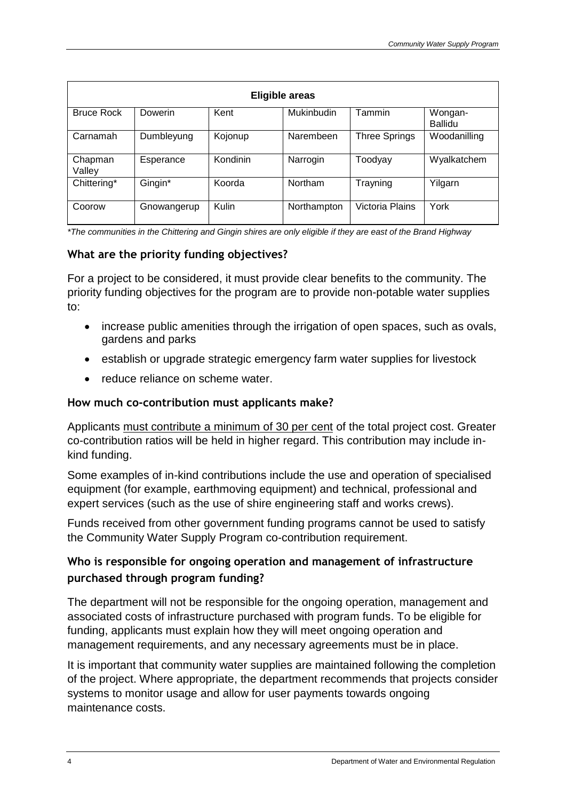| <b>Eligible areas</b> |             |          |                   |                      |                    |  |  |  |
|-----------------------|-------------|----------|-------------------|----------------------|--------------------|--|--|--|
| <b>Bruce Rock</b>     | Dowerin     | Kent     | <b>Mukinbudin</b> | Tammin               | Wongan-<br>Ballidu |  |  |  |
| Carnamah              | Dumbleyung  | Kojonup  | Narembeen         | <b>Three Springs</b> | Woodanilling       |  |  |  |
| Chapman<br>Valley     | Esperance   | Kondinin | Narrogin          | Toodyay              | Wyalkatchem        |  |  |  |
| Chittering*           | Gingin*     | Koorda   | Northam           | Trayning             | Yilgarn            |  |  |  |
| Coorow                | Gnowangerup | Kulin    | Northampton       | Victoria Plains      | York               |  |  |  |

*\*The communities in the Chittering and Gingin shires are only eligible if they are east of the Brand Highway*

### **What are the priority funding objectives?**

For a project to be considered, it must provide clear benefits to the community. The priority funding objectives for the program are to provide non-potable water supplies to:

- increase public amenities through the irrigation of open spaces, such as ovals, gardens and parks
- establish or upgrade strategic emergency farm water supplies for livestock
- reduce reliance on scheme water.

### **How much co-contribution must applicants make?**

Applicants must contribute a minimum of 30 per cent of the total project cost. Greater co-contribution ratios will be held in higher regard. This contribution may include inkind funding.

Some examples of in-kind contributions include the use and operation of specialised equipment (for example, earthmoving equipment) and technical, professional and expert services (such as the use of shire engineering staff and works crews).

Funds received from other government funding programs cannot be used to satisfy the Community Water Supply Program co-contribution requirement.

# **Who is responsible for ongoing operation and management of infrastructure purchased through program funding?**

The department will not be responsible for the ongoing operation, management and associated costs of infrastructure purchased with program funds. To be eligible for funding, applicants must explain how they will meet ongoing operation and management requirements, and any necessary agreements must be in place.

It is important that community water supplies are maintained following the completion of the project. Where appropriate, the department recommends that projects consider systems to monitor usage and allow for user payments towards ongoing maintenance costs.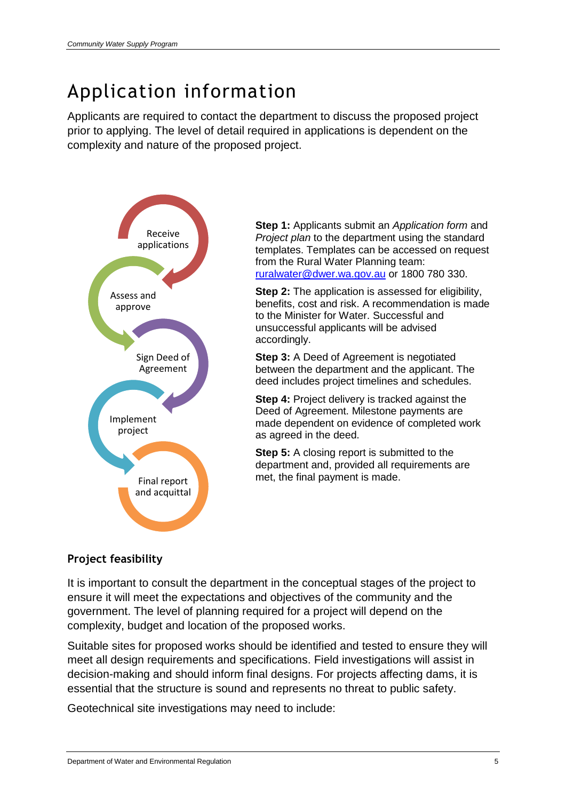# Application information

Applicants are required to contact the department to discuss the proposed project prior to applying. The level of detail required in applications is dependent on the complexity and nature of the proposed project.



**Step 1:** Applicants submit an *Application form* and *Project plan* to the department using the standard templates. Templates can be accessed on request from the Rural Water Planning team: [ruralwater@dwer.wa.gov.au](mailto:ruralwater@dwer.wa.gov.au) or 1800 780 330.

**Step 2:** The application is assessed for eligibility, benefits, cost and risk. A recommendation is made to the Minister for Water. Successful and unsuccessful applicants will be advised accordingly.

**Step 3:** A Deed of Agreement is negotiated between the department and the applicant. The deed includes project timelines and schedules.

**Step 4:** Project delivery is tracked against the Deed of Agreement. Milestone payments are made dependent on evidence of completed work as agreed in the deed.

**Step 5:** A closing report is submitted to the department and, provided all requirements are met, the final payment is made.

# **Project feasibility**

It is important to consult the department in the conceptual stages of the project to ensure it will meet the expectations and objectives of the community and the government. The level of planning required for a project will depend on the complexity, budget and location of the proposed works.

Suitable sites for proposed works should be identified and tested to ensure they will meet all design requirements and specifications. Field investigations will assist in decision-making and should inform final designs. For projects affecting dams, it is essential that the structure is sound and represents no threat to public safety.

Geotechnical site investigations may need to include: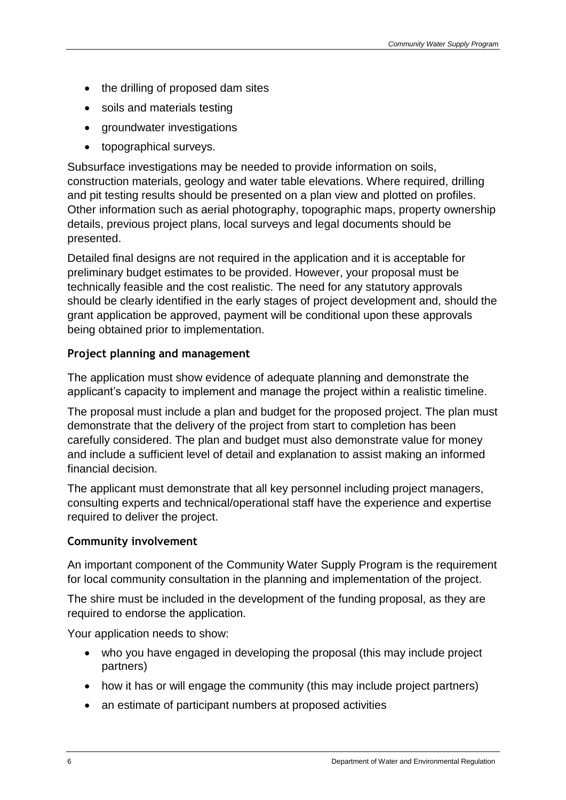- the drilling of proposed dam sites
- soils and materials testing
- groundwater investigations
- topographical surveys.

Subsurface investigations may be needed to provide information on soils, construction materials, geology and water table elevations. Where required, drilling and pit testing results should be presented on a plan view and plotted on profiles. Other information such as aerial photography, topographic maps, property ownership details, previous project plans, local surveys and legal documents should be presented.

Detailed final designs are not required in the application and it is acceptable for preliminary budget estimates to be provided. However, your proposal must be technically feasible and the cost realistic. The need for any statutory approvals should be clearly identified in the early stages of project development and, should the grant application be approved, payment will be conditional upon these approvals being obtained prior to implementation.

### **Project planning and management**

The application must show evidence of adequate planning and demonstrate the applicant's capacity to implement and manage the project within a realistic timeline.

The proposal must include a plan and budget for the proposed project. The plan must demonstrate that the delivery of the project from start to completion has been carefully considered. The plan and budget must also demonstrate value for money and include a sufficient level of detail and explanation to assist making an informed financial decision.

The applicant must demonstrate that all key personnel including project managers, consulting experts and technical/operational staff have the experience and expertise required to deliver the project.

### **Community involvement**

An important component of the Community Water Supply Program is the requirement for local community consultation in the planning and implementation of the project.

The shire must be included in the development of the funding proposal, as they are required to endorse the application.

Your application needs to show:

- who you have engaged in developing the proposal (this may include project partners)
- how it has or will engage the community (this may include project partners)
- an estimate of participant numbers at proposed activities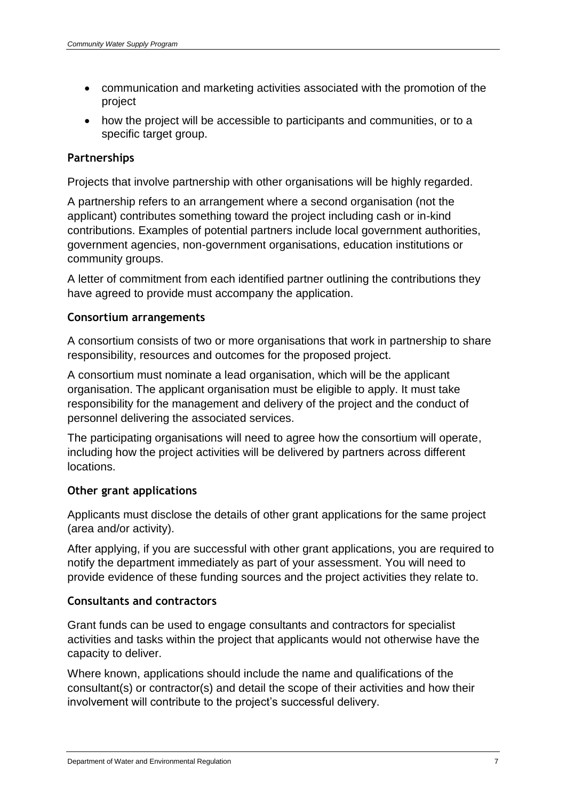- communication and marketing activities associated with the promotion of the project
- how the project will be accessible to participants and communities, or to a specific target group.

# **Partnerships**

Projects that involve partnership with other organisations will be highly regarded.

A partnership refers to an arrangement where a second organisation (not the applicant) contributes something toward the project including cash or in-kind contributions. Examples of potential partners include local government authorities, government agencies, non-government organisations, education institutions or community groups.

A letter of commitment from each identified partner outlining the contributions they have agreed to provide must accompany the application.

### **Consortium arrangements**

A consortium consists of two or more organisations that work in partnership to share responsibility, resources and outcomes for the proposed project.

A consortium must nominate a lead organisation, which will be the applicant organisation. The applicant organisation must be eligible to apply. It must take responsibility for the management and delivery of the project and the conduct of personnel delivering the associated services.

The participating organisations will need to agree how the consortium will operate, including how the project activities will be delivered by partners across different locations.

### **Other grant applications**

Applicants must disclose the details of other grant applications for the same project (area and/or activity).

After applying, if you are successful with other grant applications, you are required to notify the department immediately as part of your assessment. You will need to provide evidence of these funding sources and the project activities they relate to.

### **Consultants and contractors**

Grant funds can be used to engage consultants and contractors for specialist activities and tasks within the project that applicants would not otherwise have the capacity to deliver.

Where known, applications should include the name and qualifications of the consultant(s) or contractor(s) and detail the scope of their activities and how their involvement will contribute to the project's successful delivery.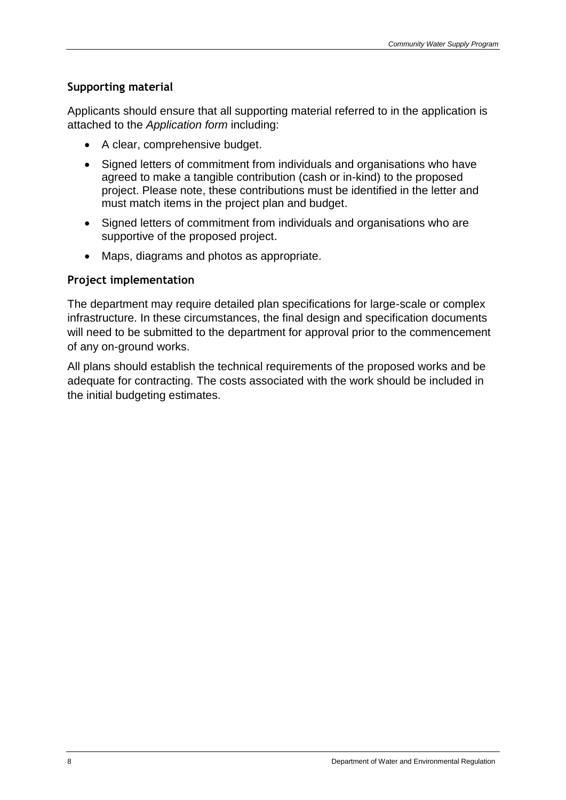### **Supporting material**

Applicants should ensure that all supporting material referred to in the application is attached to the *Application form* including:

- A clear, comprehensive budget.
- Signed letters of commitment from individuals and organisations who have agreed to make a tangible contribution (cash or in-kind) to the proposed project. Please note, these contributions must be identified in the letter and must match items in the project plan and budget.
- Signed letters of commitment from individuals and organisations who are supportive of the proposed project.
- Maps, diagrams and photos as appropriate.

### **Project implementation**

The department may require detailed plan specifications for large-scale or complex infrastructure. In these circumstances, the final design and specification documents will need to be submitted to the department for approval prior to the commencement of any on-ground works.

All plans should establish the technical requirements of the proposed works and be adequate for contracting. The costs associated with the work should be included in the initial budgeting estimates.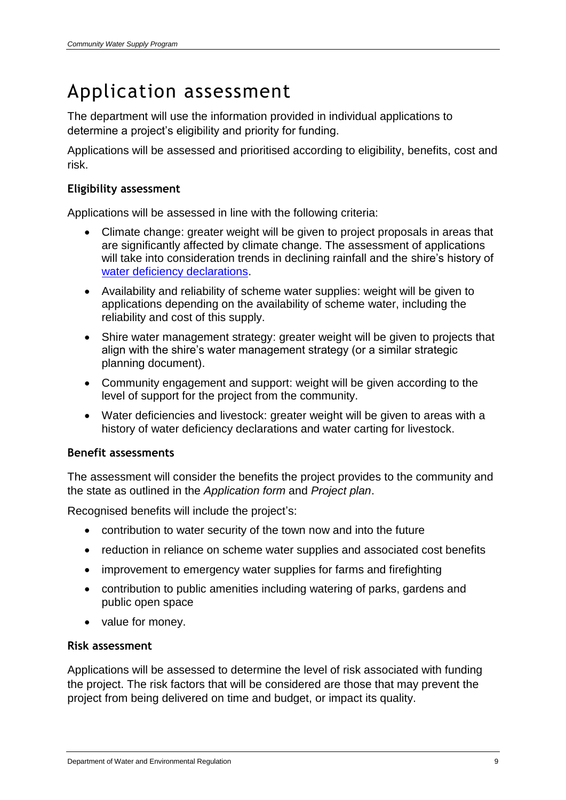# Application assessment

The department will use the information provided in individual applications to determine a project's eligibility and priority for funding.

Applications will be assessed and prioritised according to eligibility, benefits, cost and risk.

### **Eligibility assessment**

Applications will be assessed in line with the following criteria:

- Climate change: greater weight will be given to project proposals in areas that are significantly affected by climate change. The assessment of applications will take into consideration trends in declining rainfall and the shire's history of [water deficiency declarations.](https://www.water.wa.gov.au/planning-for-the-future/rural-water-support/emergency-farmland-water-response-planning-and-water-deficiency-arrangements)
- Availability and reliability of scheme water supplies: weight will be given to applications depending on the availability of scheme water, including the reliability and cost of this supply.
- Shire water management strategy: greater weight will be given to projects that align with the shire's water management strategy (or a similar strategic planning document).
- Community engagement and support: weight will be given according to the level of support for the project from the community.
- Water deficiencies and livestock: greater weight will be given to areas with a history of water deficiency declarations and water carting for livestock.

### **Benefit assessments**

The assessment will consider the benefits the project provides to the community and the state as outlined in the *Application form* and *Project plan*.

Recognised benefits will include the project's:

- contribution to water security of the town now and into the future
- reduction in reliance on scheme water supplies and associated cost benefits
- improvement to emergency water supplies for farms and firefighting
- contribution to public amenities including watering of parks, gardens and public open space
- value for money.

### **Risk assessment**

Applications will be assessed to determine the level of risk associated with funding the project. The risk factors that will be considered are those that may prevent the project from being delivered on time and budget, or impact its quality.